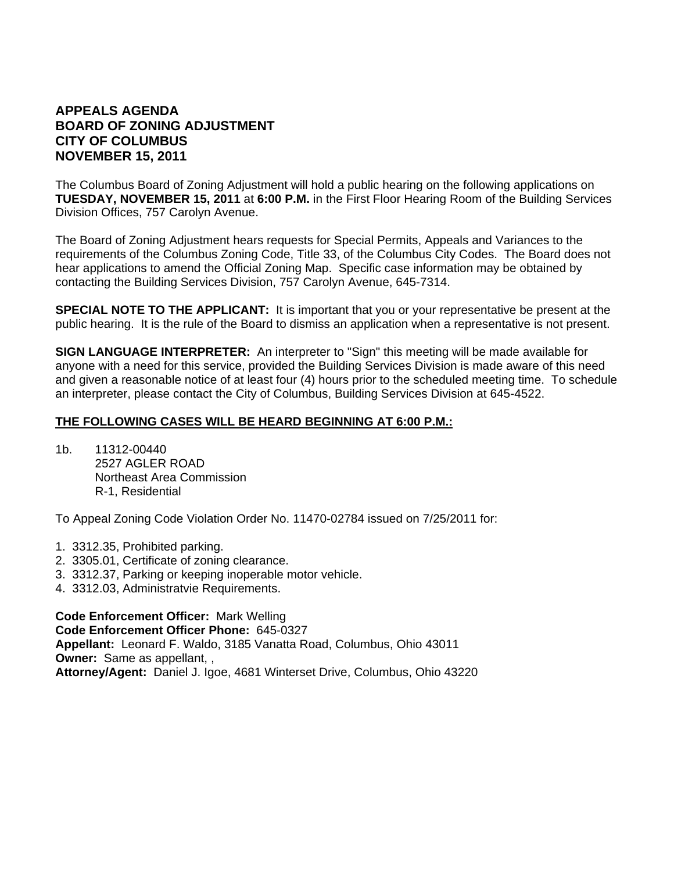# **APPEALS AGENDA BOARD OF ZONING ADJUSTMENT CITY OF COLUMBUS NOVEMBER 15, 2011**

The Columbus Board of Zoning Adjustment will hold a public hearing on the following applications on **TUESDAY, NOVEMBER 15, 2011** at **6:00 P.M.** in the First Floor Hearing Room of the Building Services Division Offices, 757 Carolyn Avenue.

The Board of Zoning Adjustment hears requests for Special Permits, Appeals and Variances to the requirements of the Columbus Zoning Code, Title 33, of the Columbus City Codes. The Board does not hear applications to amend the Official Zoning Map. Specific case information may be obtained by contacting the Building Services Division, 757 Carolyn Avenue, 645-7314.

**SPECIAL NOTE TO THE APPLICANT:** It is important that you or your representative be present at the public hearing. It is the rule of the Board to dismiss an application when a representative is not present.

**SIGN LANGUAGE INTERPRETER:** An interpreter to "Sign" this meeting will be made available for anyone with a need for this service, provided the Building Services Division is made aware of this need and given a reasonable notice of at least four (4) hours prior to the scheduled meeting time. To schedule an interpreter, please contact the City of Columbus, Building Services Division at 645-4522.

#### **THE FOLLOWING CASES WILL BE HEARD BEGINNING AT 6:00 P.M.:**

1b. 11312-00440 2527 AGLER ROAD Northeast Area Commission R-1, Residential

To Appeal Zoning Code Violation Order No. 11470-02784 issued on 7/25/2011 for:

- 1. 3312.35, Prohibited parking.
- 2. 3305.01, Certificate of zoning clearance.
- 3. 3312.37, Parking or keeping inoperable motor vehicle.
- 4. 3312.03, Administratvie Requirements.

**Code Enforcement Officer:** Mark Welling **Code Enforcement Officer Phone:** 645-0327 **Appellant:** Leonard F. Waldo, 3185 Vanatta Road, Columbus, Ohio 43011 **Owner:** Same as appellant, , **Attorney/Agent:** Daniel J. Igoe, 4681 Winterset Drive, Columbus, Ohio 43220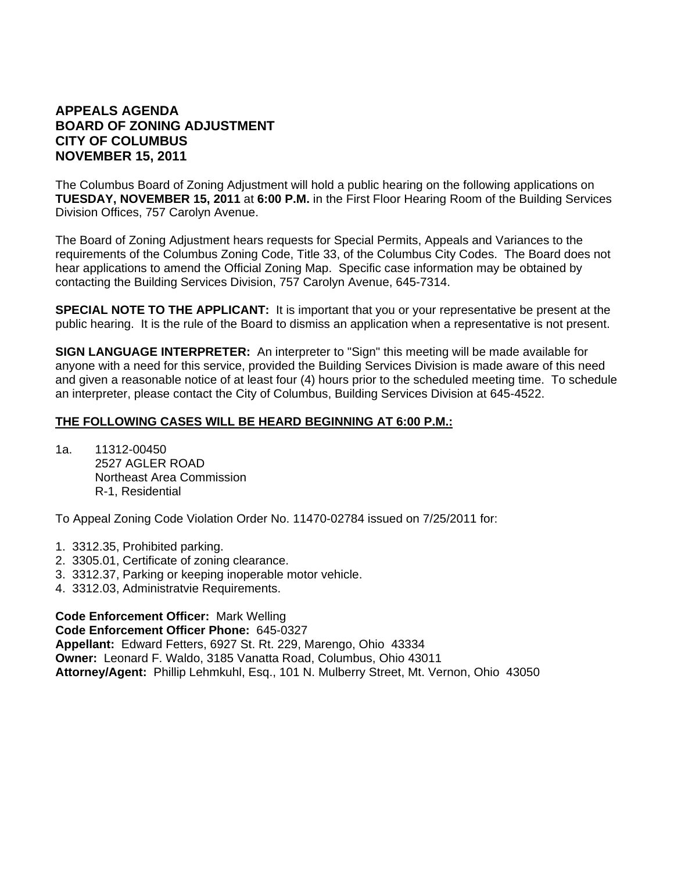# **APPEALS AGENDA BOARD OF ZONING ADJUSTMENT CITY OF COLUMBUS NOVEMBER 15, 2011**

The Columbus Board of Zoning Adjustment will hold a public hearing on the following applications on **TUESDAY, NOVEMBER 15, 2011** at **6:00 P.M.** in the First Floor Hearing Room of the Building Services Division Offices, 757 Carolyn Avenue.

The Board of Zoning Adjustment hears requests for Special Permits, Appeals and Variances to the requirements of the Columbus Zoning Code, Title 33, of the Columbus City Codes. The Board does not hear applications to amend the Official Zoning Map. Specific case information may be obtained by contacting the Building Services Division, 757 Carolyn Avenue, 645-7314.

**SPECIAL NOTE TO THE APPLICANT:** It is important that you or your representative be present at the public hearing. It is the rule of the Board to dismiss an application when a representative is not present.

**SIGN LANGUAGE INTERPRETER:** An interpreter to "Sign" this meeting will be made available for anyone with a need for this service, provided the Building Services Division is made aware of this need and given a reasonable notice of at least four (4) hours prior to the scheduled meeting time. To schedule an interpreter, please contact the City of Columbus, Building Services Division at 645-4522.

#### **THE FOLLOWING CASES WILL BE HEARD BEGINNING AT 6:00 P.M.:**

1a. 11312-00450 2527 AGLER ROAD Northeast Area Commission R-1, Residential

To Appeal Zoning Code Violation Order No. 11470-02784 issued on 7/25/2011 for:

- 1. 3312.35, Prohibited parking.
- 2. 3305.01, Certificate of zoning clearance.
- 3. 3312.37, Parking or keeping inoperable motor vehicle.
- 4. 3312.03, Administratvie Requirements.

**Code Enforcement Officer:** Mark Welling

**Code Enforcement Officer Phone:** 645-0327 **Appellant:** Edward Fetters, 6927 St. Rt. 229, Marengo, Ohio 43334 **Owner:** Leonard F. Waldo, 3185 Vanatta Road, Columbus, Ohio 43011 **Attorney/Agent:** Phillip Lehmkuhl, Esq., 101 N. Mulberry Street, Mt. Vernon, Ohio 43050